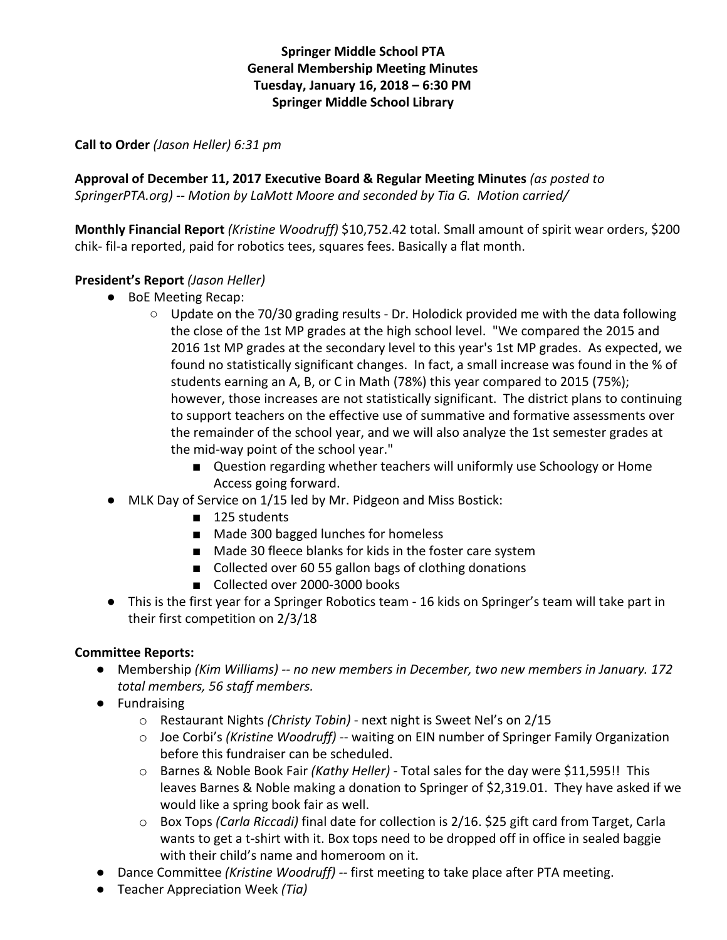# **Springer Middle School PTA General Membership Meeting Minutes Tuesday, January 16, 2018 – 6:30 PM Springer Middle School Library**

### **Call to Order** *(Jason Heller) 6:31 pm*

**Approval of December 11, 2017 Executive Board & Regular Meeting Minutes** *(as posted to SpringerPTA.org) -- Motion by LaMott Moore and seconded by Tia G. Motion carried/*

**Monthly Financial Report** *(Kristine Woodruff)* \$10,752.42 total. Small amount of spirit wear orders, \$200 chik- fil-a reported, paid for robotics tees, squares fees. Basically a flat month.

### **President's Report** *(Jason Heller)*

- BoE Meeting Recap:
	- $\circ$  Update on the 70/30 grading results Dr. Holodick provided me with the data following the close of the 1st MP grades at the high school level. "We compared the 2015 and 2016 1st MP grades at the secondary level to this year's 1st MP grades. As expected, we found no statistically significant changes. In fact, a small increase was found in the % of students earning an A, B, or C in Math (78%) this year compared to 2015 (75%); however, those increases are not statistically significant. The district plans to continuing to support teachers on the effective use of summative and formative assessments over the remainder of the school year, and we will also analyze the 1st semester grades at the mid-way point of the school year."
		- Question regarding whether teachers will uniformly use Schoology or Home Access going forward.
- MLK Day of Service on 1/15 led by Mr. Pidgeon and Miss Bostick:
	- 125 students
	- Made 300 bagged lunches for homeless
	- Made 30 fleece blanks for kids in the foster care system
	- Collected over 60 55 gallon bags of clothing donations
	- Collected over 2000-3000 books
- This is the first year for a Springer Robotics team 16 kids on Springer's team will take part in their first competition on 2/3/18

#### **Committee Reports:**

- Membership *(Kim Williams) -- no new members in December, two new members in January. 172 total members, 56 staff members.*
- Fundraising
	- o Restaurant Nights *(Christy Tobin)* next night is Sweet Nel's on 2/15
	- o Joe Corbi's *(Kristine Woodruff)* -- waiting on EIN number of Springer Family Organization before this fundraiser can be scheduled.
	- o Barnes & Noble Book Fair *(Kathy Heller)* Total sales for the day were \$11,595!! This leaves Barnes & Noble making a donation to Springer of \$2,319.01. They have asked if we would like a spring book fair as well.
	- o Box Tops *(Carla Riccadi)* final date for collection is 2/16. \$25 gift card from Target, Carla wants to get a t-shirt with it. Box tops need to be dropped off in office in sealed baggie with their child's name and homeroom on it.
- Dance Committee *(Kristine Woodruff) --* first meeting to take place after PTA meeting.
- Teacher Appreciation Week *(Tia)*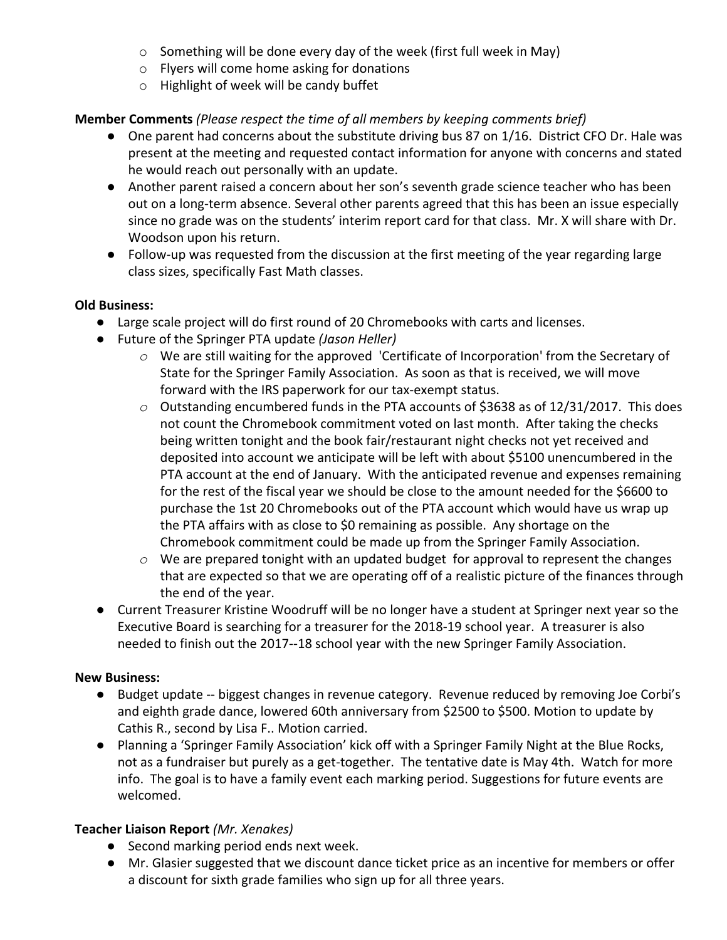- o Something will be done every day of the week (first full week in May)
- o Flyers will come home asking for donations
- o Highlight of week will be candy buffet

# **Member Comments** *(Please respect the time of all members by keeping comments brief)*

- One parent had concerns about the substitute driving bus 87 on 1/16. District CFO Dr. Hale was present at the meeting and requested contact information for anyone with concerns and stated he would reach out personally with an update.
- Another parent raised a concern about her son's seventh grade science teacher who has been out on a long-term absence. Several other parents agreed that this has been an issue especially since no grade was on the students' interim report card for that class. Mr. X will share with Dr. Woodson upon his return.
- Follow-up was requested from the discussion at the first meeting of the year regarding large class sizes, specifically Fast Math classes.

## **Old Business:**

- Large scale project will do first round of 20 Chromebooks with carts and licenses.
- Future of the Springer PTA update *(Jason Heller)*
	- *o* We are still waiting for the approved 'Certificate of Incorporation' from the Secretary of State for the Springer Family Association. As soon as that is received, we will move forward with the IRS paperwork for our tax-exempt status.
	- *o* Outstanding encumbered funds in the PTA accounts of \$3638 as of 12/31/2017. This does not count the Chromebook commitment voted on last month. After taking the checks being written tonight and the book fair/restaurant night checks not yet received and deposited into account we anticipate will be left with about \$5100 unencumbered in the PTA account at the end of January. With the anticipated revenue and expenses remaining for the rest of the fiscal year we should be close to the amount needed for the \$6600 to purchase the 1st 20 Chromebooks out of the PTA account which would have us wrap up the PTA affairs with as close to \$0 remaining as possible. Any shortage on the Chromebook commitment could be made up from the Springer Family Association.
	- *o* We are prepared tonight with an updated budget for approval to represent the changes that are expected so that we are operating off of a realistic picture of the finances through the end of the year.
- Current Treasurer Kristine Woodruff will be no longer have a student at Springer next year so the Executive Board is searching for a treasurer for the 2018-19 school year. A treasurer is also needed to finish out the 2017--18 school year with the new Springer Family Association.

## **New Business:**

- Budget update -- biggest changes in revenue category. Revenue reduced by removing Joe Corbi's and eighth grade dance, lowered 60th anniversary from \$2500 to \$500. Motion to update by Cathis R., second by Lisa F.. Motion carried.
- Planning a 'Springer Family Association' kick off with a Springer Family Night at the Blue Rocks, not as a fundraiser but purely as a get-together. The tentative date is May 4th. Watch for more info. The goal is to have a family event each marking period. Suggestions for future events are welcomed.

## **Teacher Liaison Report** *(Mr. Xenakes)*

- Second marking period ends next week.
- Mr. Glasier suggested that we discount dance ticket price as an incentive for members or offer a discount for sixth grade families who sign up for all three years.